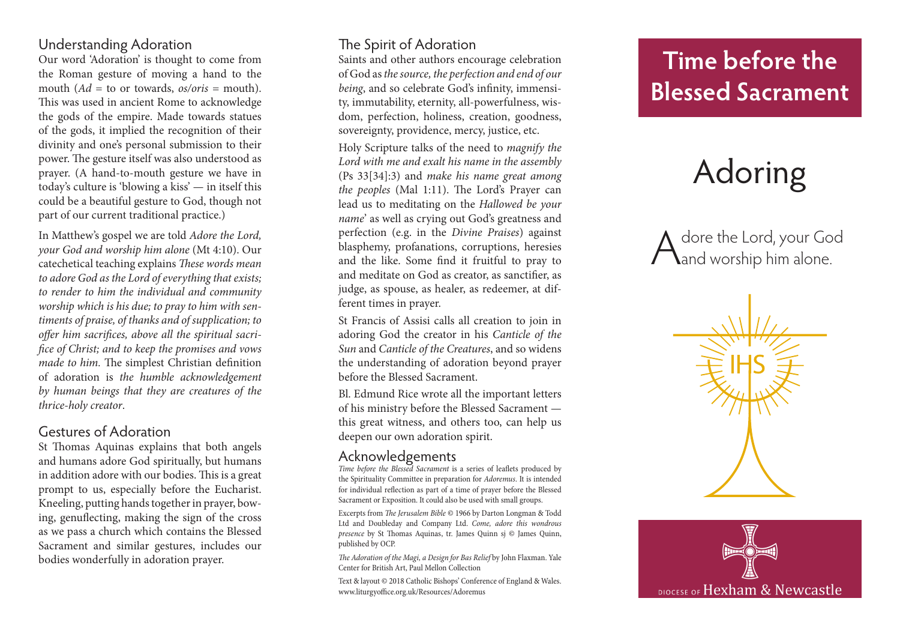# Understanding Adoration

Our word 'Adoration' is thought to come from the Roman gesture of moving a hand to the mouth  $(Ad = \text{to} \text{or} \text{towards}, \text{os}/\text{oris} = \text{mouth}).$ This was used in ancient Rome to acknowledge the gods of the empire. Made towards statues of the gods, it implied the recognition of their divinity and one's personal submission to their power. The gesture itself was also understood as prayer. (A hand-to-mouth gesture we have in today's culture is 'blowing a kiss' — in itself this could be a beautiful gesture to God, though not part of our current traditional practice.)

In Matthew's gospel we are told *Adore the Lord, your God and worship him alone* (Mt 4:10). Our catechetical teaching explains *These words mean to adore God as the Lord of everything that exists; to render to him the individual and community worship which is his due; to pray to him with sen timents of praise, of thanks and of supplication; to offer him sacrifices, above all the spiritual sacri fice of Christ; and to keep the promises and vows made to him.* The simplest Christian definition of adoration is *the humble acknowledgement by human beings that they are creatures of the thrice-holy creator* .

## Gestures of Adoration

St Thomas Aquinas explains that both angels and humans adore God spiritually, but humans in addition adore with our bodies. This is a great prompt to us, especially before the Eucharist. Kneeling, putting hands together in prayer, bow ing, genuflecting, making the sign of the cross as we pass a church which contains the Blessed Sacrament and similar gestures, includes our bodies wonderfully in adoration prayer.

# The Spirit of Adoration

Saints and other authors encourage celebration of God as *the source, the perfection and end of our being*, and so celebrate God's infinity, immensi ty, immutability, eternity, all-powerfulness, wis dom, perfection, holiness, creation, goodness, sovereignty, providence, mercy, justice, etc.

Holy Scripture talks of the need to *magnify the Lord with me and exalt his name in the assembly* (Ps 33[34]:3) and *make his name great among the peoples* (Mal 1:11). The Lord's Prayer can lead us to meditating on the *Hallowed be your name*' as well as crying out God's greatness and perfection (e.g. in the *Divine Praises*) against blasphemy, profanations, corruptions, heresies and the like. Some find it fruitful to pray to and meditate on God as creator, as sanctifier, as judge, as spouse, as healer, as redeemer, at different times in prayer.

St Francis of Assisi calls all creation to join in adoring God the creator in his *Canticle of the Sun* and *Canticle of the Creatures*, and so widens the understanding of adoration beyond prayer before the Blessed Sacrament.

Bl. Edmund Rice wrote all the important letters of his ministry before the Blessed Sacrament this great witness, and others too, can help us deepen our own adoration spirit.

#### Acknowledgements

*Time before the Blessed Sacrament* is a series of leaflets produced by the Spirituality Committee in preparation for *Adoremus*. It is intended for individual reflection as part of a time of prayer before the Blessed Sacrament or Exposition. It could also be used with small groups.

Excerpts from *The Jerusalem Bible* © 1966 by Darton Longman & Todd Ltd and Doubleday and Company Ltd. *Come, adore this wondrous presence* by St Thomas Aquinas, tr. James Quinn sj © James Quinn, published by OCP.

*The Adoration of the Magi, a Design for Bas Relief* by John Flaxman. Yale Center for British Art, Paul Mellon Collection

Text & layout © 2018 Catholic Bishops' Conference of England & Wales. www.liturgyoffice.org.uk/Resources/Adoremus

# **Time before the Blessed Sacrament**

# Adoring

A dore the Lord, your God<br>Aand worship him alone.